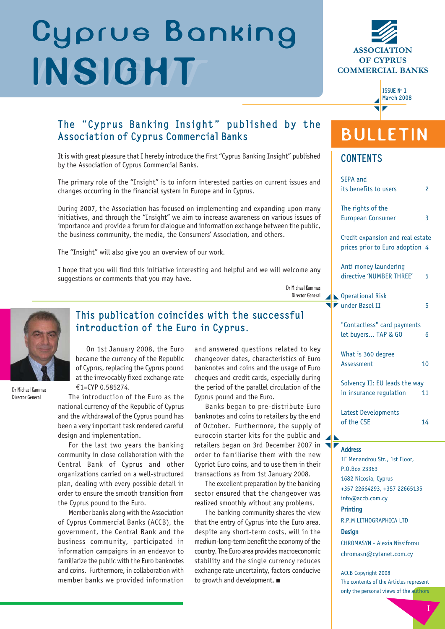# **INSIGHT Cyprus Banking INSIGHT**





# The "Cyprus Banking Insight" published by the Association of Cyprus Commercial Banks

It is with great pleasure that I hereby introduce the first "Cyprus Banking Insight" published by the Association of Cyprus Commercial Banks.

The primary role of the "Insight" is to inform interested parties on current issues and changes occurring in the financial system in Europe and in Cyprus.

During 2007, the Association has focused on implementing and expanding upon many initiatives, and through the "Insight" we aim to increase awareness on various issues of importance and provide a forum for dialogue and information exchange between the public, the business community, the media, the Consumers' Association, and others.

The "Insight" will also give you an overview of our work.

I hope that you will find this initiative interesting and helpful and we will welcome any suggestions or comments that you may have.

> Dr Michael Kammas Director General



Director General

# This publication coincides with the successful introduction of the Euro in Cyprus.

On 1st January 2008, the Euro became the currency of the Republic of Cyprus, replacing the Cyprus pound at the irrevocably fixed exchange rate €1=CYP 0.585274.

The introduction of the Euro as the national currency of the Republic of Cyprus and the withdrawal of the Cyprus pound has been a very important task rendered careful design and implementation.

For the last two years the banking community in close collaboration with the Central Bank of Cyprus and other organizations carried on a well-structured plan, dealing with every possible detail in order to ensure the smooth transition from the Cyprus pound to the Euro.

Member banks along with the Association of Cyprus Commercial Banks (ACCB), the government, the Central Bank and the business community, participated in information campaigns in an endeavor to familiarize the public with the Euro banknotes and coins. Furthermore, in collaboration with member banks we provided information and answered questions related to key changeover dates, characteristics of Euro banknotes and coins and the usage of Euro cheques and credit cards, especially during the period of the parallel circulation of the Cyprus pound and the Euro.

Banks began to pre-distribute Euro banknotes and coins to retailers by the end of October. Furthermore, the supply of eurocoin starter kits for the public and retailers began on 3rd December 2007 in order to familiarise them with the new Cypriot Euro coins, and to use them in their transactions as from 1st January 2008.

The excellent preparation by the banking sector ensured that the changeover was realized smoothly without any problems.

The banking community shares the view that the entry of Cyprus into the Euro area, despite any short-term costs, will in the medium-long-term benefit the economy of the country. The Euro area provides macroeconomic stability and the single currency reduces exchange rate uncertainty, factors conducive to growth and development. ■

# **BULLETIN**

## **CONTENTS**

| <b>SEPA and</b><br>its benefits to users                            | 2  |
|---------------------------------------------------------------------|----|
| The rights of the<br><b>European Consumer</b>                       | 3  |
| Credit expansion and real estate<br>prices prior to Euro adoption 4 |    |
| Anti money laundering<br>directive 'NUMBER THREE'                   | 5  |
| <b>Operational Risk</b><br>under Basel II                           | 5  |
| "Contactless" card payments<br>let buyers TAP & GO                  | 6  |
| What is 360 degree<br>Assessment                                    | 10 |
| Solvency II: EU leads the way<br>in insurance regulation            | 11 |
| <b>Latest Developments</b><br>of the CSE                            | 14 |
|                                                                     |    |

## Address

1E Menandrou Str., 1st Floor, P.O.Box 23363 1682 Nicosia, Cyprus +357 22664293, +357 22665135 info@accb.com.cy

## **Printing**

R.P.M LITHOGRAPHICA LTD

### **Design**

CHROMASYN - Alexia Nissiforou chromasn@cytanet.com.cy

ACCB Copyright 2008 The contents of the Articles represent only the personal views of the authors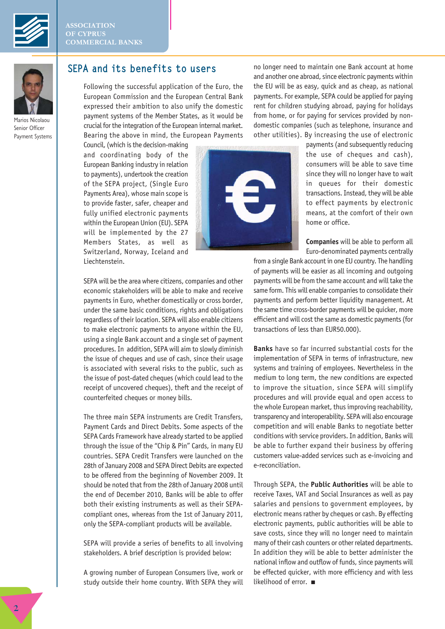



Marios Nicolaou Senior Officer Payment Systems

## SEPA and its benefits to users

Following the successful application of the Euro, the European Commission and the European Central Bank expressed their ambition to also unify the domestic payment systems of the Member States, as it would be crucial for the integration of the European internal market. Bearing the above in mind, the European Payments

Council, (which is the decision-making and coordinating body of the European Banking industry in relation to payments), undertook the creation of the SEPA project, (Single Euro Payments Area), whose main scope is to provide faster, safer, cheaper and fully unified electronic payments within the European Union (EU). SEPA will be implemented by the 27 Members States, as well as Switzerland, Norway, Iceland and Liechtenstein.



no longer need to maintain one Bank account at home and another one abroad, since electronic payments within the EU will be as easy, quick and as cheap, as national payments. For example, SEPA could be applied for paying rent for children studying abroad, paying for holidays from home, or for paying for services provided by nondomestic companies (such as telephone, insurance and other utilities). By increasing the use of electronic

> payments (and subsequently reducing the use of cheques and cash), consumers will be able to save time since they will no longer have to wait in queues for their domestic transactions. Instead, they will be able to effect payments by electronic means, at the comfort of their own home or office.

> **Companies** will be able to perform all Euro-denominated payments centrally

from a single Bank account in one EU country. The handling of payments will be easier as all incoming and outgoing payments will be from the same account and will take the same form. This will enable companies to consolidate their payments and perform better liquidity management. At the same time cross-border payments will be quicker, more efficient and will cost the same as domestic payments (for transactions of less than EUR50.000).

**Banks** have so far incurred substantial costs for the implementation of SEPA in terms of infrastructure, new systems and training of employees. Nevertheless in the medium to long term, the new conditions are expected to improve the situation, since SEPA will simplify procedures and will provide equal and open access to the whole European market, thus improving reachability, transparency and interoperability. SEPA will also encourage competition and will enable Banks to negotiate better conditions with service providers. In addition, Banks will be able to further expand their business by offering customers value-added services such as e-invoicing and e-reconciliation.

Through SEPA, the **Public Authorities** will be able to receive Taxes, VAT and Social Insurances as well as pay salaries and pensions to government employees, by electronic means rather by cheques or cash. By effecting electronic payments, public authorities will be able to save costs, since they will no longer need to maintain many of their cash counters or other related departments. In addition they will be able to better administer the national inflow and outflow of funds, since payments will be effected quicker, with more efficiency and with less likelihood of error. ■

SEPA will be the area where citizens, companies and other economic stakeholders will be able to make and receive payments in Euro, whether domestically or cross border, under the same basic conditions, rights and obligations regardless of their location. SEPA will also enable citizens to make electronic payments to anyone within the EU, using a single Bank account and a single set of payment procedures. In addition, SEPA will aim to slowly diminish the issue of cheques and use of cash, since their usage is associated with several risks to the public, such as the issue of post-dated cheques (which could lead to the receipt of uncovered cheques), theft and the receipt of counterfeited cheques or money bills.

The three main SEPA instruments are Credit Transfers, Payment Cards and Direct Debits. Some aspects of the SEPA Cards Framework have already started to be applied through the issue of the "Chip & Pin" Cards, in many EU countries. SEPA Credit Transfers were launched on the 28th of January 2008 and SEPA Direct Debits are expected to be offered from the beginning of November 2009. It should be noted that from the 28th of January 2008 until the end of December 2010, Banks will be able to offer both their existing instruments as well as their SEPAcompliant ones, whereas from the 1st of January 2011, only the SEPA-compliant products will be available.

SEPA will provide a series of benefits to all involving stakeholders. A brief description is provided below:

A growing number of European Consumers live, work or study outside their home country. With SEPA they will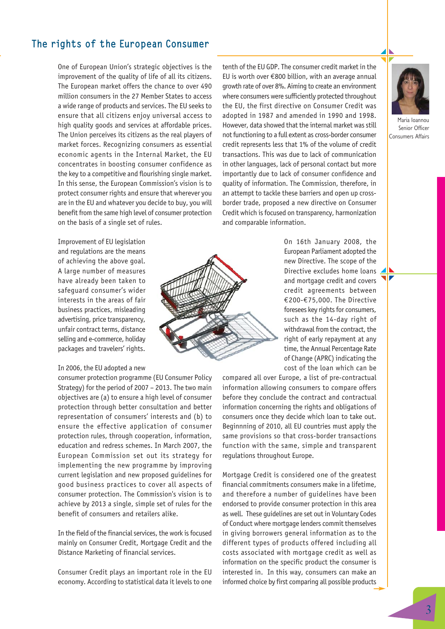# The rights of the European Consumer

One of European Union's strategic objectives is the improvement of the quality of life of all its citizens. The European market offers the chance to over 490 million consumers in the 27 Member States to access a wide range of products and services. The EU seeks to ensure that all citizens enjoy universal access to high quality goods and services at affordable prices. The Union perceives its citizens as the real players of market forces. Recognizing consumers as essential economic agents in the Internal Market, the EU concentrates in boosting consumer confidence as the key to a competitive and flourishing single market. In this sense, the European Commission's vision is to protect consumer rights and ensure that wherever you are in the EU and whatever you decide to buy, you will benefit from the same high level of consumer protection on the basis of a single set of rules.

Improvement of EU legislation and regulations are the means of achieving the above goal. A large number of measures have already been taken to safeguard consumer's wider interests in the areas of fair business practices, misleading advertising, price transparency, unfair contract terms, distance selling and e-commerce, holiday packages and travelers' rights.

## In 2006, the EU adopted a new

consumer protection programme (EU Consumer Policy Strategy) for the period of 2007 – 2013. The two main objectives are (a) to ensure a high level of consumer protection through better consultation and better representation of consumers' interests and (b) to ensure the effective application of consumer protection rules, through cooperation, information, education and redress schemes. In March 2007, the European Commission set out its strategy for implementing the new programme by improving current legislation and new proposed guidelines for good business practices to cover all aspects of consumer protection. The Commission's vision is to achieve by 2013 a single, simple set of rules for the benefit of consumers and retailers alike.

In the field of the financial services, the work is focused mainly on Consumer Credit, Mortgage Credit and the Distance Marketing of financial services.

Consumer Credit plays an important role in the EU economy. According to statistical data it levels to one tenth of the EU GDP. The consumer credit market in the EU is worth over €800 billion, with an average annual growth rate of over 8%. Aiming to create an environment where consumers were sufficiently protected throughout the EU, the first directive on Consumer Credit was adopted in 1987 and amended in 1990 and 1998. However, data showed that the internal market was still not functioning to a full extent as cross-border consumer credit represents less that 1% of the volume of credit transactions. This was due to lack of communication in other languages, lack of personal contact but more importantly due to lack of consumer confidence and quality of information. The Commission, therefore, in an attempt to tackle these barriers and open up crossborder trade, proposed a new directive on Consumer Credit which is focused on transparency, harmonization and comparable information.

> On 16th January 2008, the European Parliament adopted the new Directive. The scope of the Directive excludes home loans and mortgage credit and covers credit agreements between €200-€75,000. The Directive foresees key rights for consumers, such as the 14-day right of withdrawal from the contract, the right of early repayment at any time, the Annual Percentage Rate of Change (APRC) indicating the cost of the loan which can be

compared all over Europe, a list of pre-contractual information allowing consumers to compare offers before they conclude the contract and contractual information concerning the rights and obligations of consumers once they decide which loan to take out. Beginnning of 2010, all EU countries must apply the same provisions so that cross-border transactions function with the same, simple and transparent regulations throughout Europe.

Mortgage Credit is considered one of the greatest financial commitments consumers make in a lifetime, and therefore a number of guidelines have been endorsed to provide consumer protection in this area as well. These guidelines are set out in Voluntary Codes of Conduct where mortgage lenders commit themselves in giving borrowers general information as to the different types of products offered including all costs associated with mortgage credit as well as information on the specific product the consumer is interested in. In this way, consumers can make an informed choice by first comparing all possible products



Maria Ioannou Senior Officer Consumers Affairs

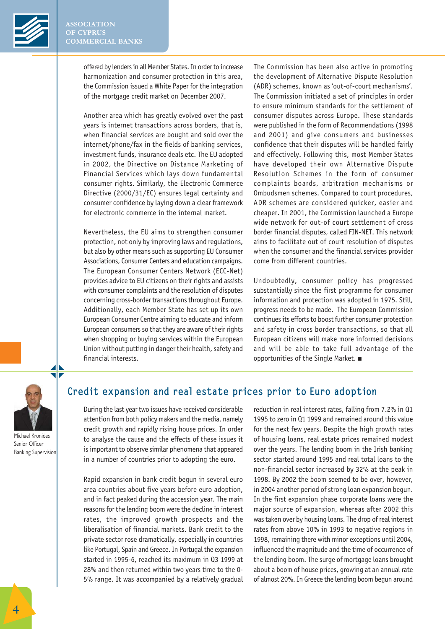

offered by lenders in all Member States. In order to increase harmonization and consumer protection in this area, the Commission issued a White Paper for the integration of the mortgage credit market on December 2007.

Another area which has greatly evolved over the past years is internet transactions across borders, that is, when financial services are bought and sold over the internet/phone/fax in the fields of banking services, investment funds, insurance deals etc. The EU adopted in 2002, the Directive on Distance Marketing of Financial Services which lays down fundamental consumer rights. Similarly, the Electronic Commerce Directive (2000/31/EC) ensures legal certainty and consumer confidence by laying down a clear framework for electronic commerce in the internal market.

Nevertheless, the EU aims to strengthen consumer protection, not only by improving laws and regulations, but also by other means such as supporting EU Consumer Associations, Consumer Centers and education campaigns. The European Consumer Centers Network (ECC-Net) provides advice to EU citizens on their rights and assists with consumer complaints and the resolution of disputes concerning cross-border transactions throughout Europe. Additionally, each Member State has set up its own European Consumer Centre aiming to educate and inform European consumers so that they are aware of their rights when shopping or buying services within the European Union without putting in danger their health, safety and financial interests.

The Commission has been also active in promoting the development of Alternative Dispute Resolution (ADR) schemes, known as 'out-of-court mechanisms'. The Commission initiated a set of principles in order to ensure minimum standards for the settlement of consumer disputes across Europe. These standards were published in the form of Recommendations (1998 and 2001) and give consumers and businesses confidence that their disputes will be handled fairly and effectively. Following this, most Member States have developed their own Alternative Dispute Resolution Schemes in the form of consumer complaints boards, arbitration mechanisms or Ombudsmen schemes. Compared to court procedures, ADR schemes are considered quicker, easier and cheaper. In 2001, the Commission launched a Europe wide network for out-of court settlement of cross border financial disputes, called FIN-NET. This network aims to facilitate out of court resolution of disputes when the consumer and the financial services provider come from different countries.

Undoubtedly, consumer policy has progressed substantially since the first programme for consumer information and protection was adopted in 1975. Still, progress needs to be made. The European Commission continues its efforts to boost further consumer protection and safety in cross border transactions, so that all European citizens will make more informed decisions and will be able to take full advantage of the opportunities of the Single Market. ■

Michael Kronides Senior Officer Banking Supervision

# Credit expansion and real estate prices prior to Euro adoption

During the last year two issues have received considerable attention from both policy makers and the media, namely credit growth and rapidly rising house prices. In order to analyse the cause and the effects of these issues it is important to observe similar phenomena that appeared in a number of countries prior to adopting the euro.

Rapid expansion in bank credit begun in several euro area countries about five years before euro adoption, and in fact peaked during the accession year. The main reasons for the lending boom were the decline in interest rates, the improved growth prospects and the liberalisation of financial markets. Bank credit to the private sector rose dramatically, especially in countries like Portugal, Spain and Greece. In Portugal the expansion started in 1995-6, reached its maximum in Q3 1999 at 28% and then returned within two years time to the 0- 5% range. It was accompanied by a relatively gradual reduction in real interest rates, falling from 7.2% in Q1 1995 to zero in Q1 1999 and remained around this value for the next few years. Despite the high growth rates of housing loans, real estate prices remained modest over the years. The lending boom in the Irish banking sector started around 1995 and real total loans to the non-financial sector increased by 32% at the peak in 1998. By 2002 the boom seemed to be over, however, in 2004 another period of strong loan expansion begun. In the first expansion phase corporate loans were the major source of expansion, whereas after 2002 this was taken over by housing loans. The drop of real interest rates from above 10% in 1993 to negative regions in 1998, remaining there with minor exceptions until 2004, influenced the magnitude and the time of occurrence of the lending boom. The surge of mortgage loans brought about a boom of house prices, growing at an annual rate of almost 20%. In Greece the lending boom begun around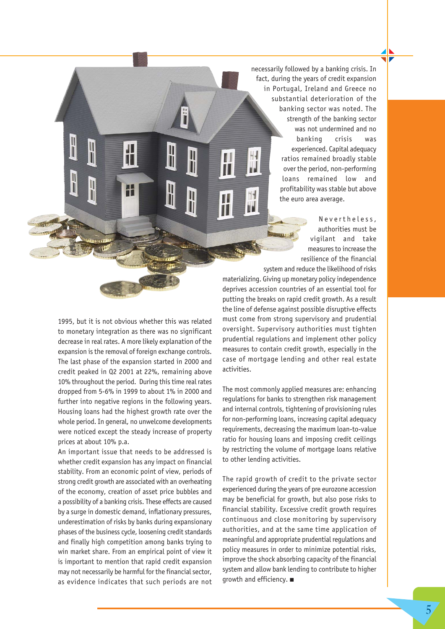necessarily followed by a banking crisis. In fact, during the years of credit expansion in Portugal, Ireland and Greece no substantial deterioration of the banking sector was noted. The strength of the banking sector was not undermined and no banking crisis was experienced. Capital adequacy ratios remained broadly stable over the period, non-performing loans remained low and profitability was stable but above the euro area average.

> Nevertheless, authorities must be vigilant and take measures to increase the resilience of the financial

1995, but it is not obvious whether this was related to monetary integration as there was no significant decrease in real rates. A more likely explanation of the expansion is the removal of foreign exchange controls. The last phase of the expansion started in 2000 and credit peaked in Q2 2001 at 22%, remaining above 10% throughout the period. During this time real rates dropped from 5-6% in 1999 to about 1% in 2000 and further into negative regions in the following years. Housing loans had the highest growth rate over the whole period. In general, no unwelcome developments were noticed except the steady increase of property prices at about 10% p.a.

H

 $\mathbb{I}$ 

An important issue that needs to be addressed is whether credit expansion has any impact on financial stability. From an economic point of view, periods of strong credit growth are associated with an overheating of the economy, creation of asset price bubbles and a possibility of a banking crisis. These effects are caused by a surge in domestic demand, inflationary pressures, underestimation of risks by banks during expansionary phases of the business cycle, loosening credit standards and finally high competition among banks trying to win market share. From an empirical point of view it is important to mention that rapid credit expansion may not necessarily be harmful for the financial sector, as evidence indicates that such periods are not

system and reduce the likelihood of risks materializing. Giving up monetary policy independence deprives accession countries of an essential tool for putting the breaks on rapid credit growth. As a result the line of defense against possible disruptive effects must come from strong supervisory and prudential oversight. Supervisory authorities must tighten prudential regulations and implement other policy measures to contain credit growth, especially in the case of mortgage lending and other real estate activities.

T

The most commonly applied measures are: enhancing regulations for banks to strengthen risk management and internal controls, tightening of provisioning rules for non-performing loans, increasing capital adequacy requirements, decreasing the maximum loan-to-value ratio for housing loans and imposing credit ceilings by restricting the volume of mortgage loans relative to other lending activities.

The rapid growth of credit to the private sector experienced during the years of pre eurozone accession may be beneficial for growth, but also pose risks to financial stability. Excessive credit growth requires continuous and close monitoring by supervisory authorities, and at the same time application of meaningful and appropriate prudential regulations and policy measures in order to minimize potential risks, improve the shock absorbing capacity of the financial system and allow bank lending to contribute to higher growth and efficiency. ■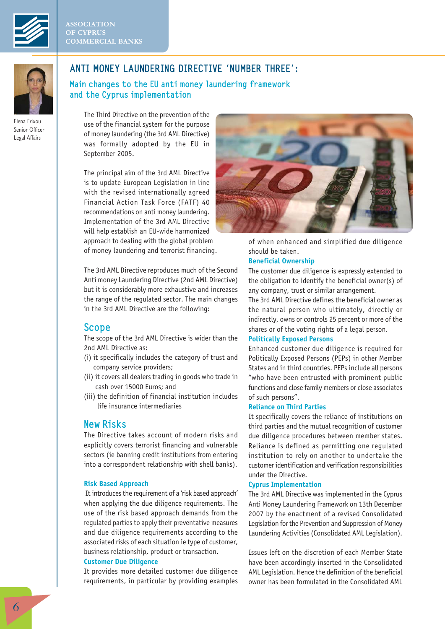



Elena Frixou Senior Officer Legal Affairs

# ANTI MONEY LAUNDERING DIRECTIVE 'NUMBER THREE':

Main changes to the EU anti money laundering framework and the Cyprus implementation

The Third Directive on the prevention of the use of the financial system for the purpose of money laundering (the 3rd AML Directive) was formally adopted by the EU in September 2005.

The principal aim of the 3rd AML Directive is to update European Legislation in line with the revised internationally agreed Financial Action Task Force (FATF) 40 recommendations on anti money laundering. Implementation of the 3rd AML Directive will help establish an EU-wide harmonized approach to dealing with the global problem of money laundering and terrorist financing.

The 3rd AML Directive reproduces much of the Second Anti money Laundering Directive (2nd AML Directive) but it is considerably more exhaustive and increases the range of the regulated sector. The main changes in the 3rd AML Directive are the following:

## Scope

The scope of the 3rd AML Directive is wider than the 2nd AML Directive as:

- (i) it specifically includes the category of trust and company service providers;
- (ii) it covers all dealers trading in goods who trade in cash over 15000 Euros; and
- (iii) the definition of financial institution includes life insurance intermediaries

## New Risks

The Directive takes account of modern risks and explicitly covers terrorist financing and vulnerable sectors (ie banning credit institutions from entering into a correspondent relationship with shell banks).

## **Risk Based Approach**

It introduces the requirement of a 'risk based approach' when applying the due diligence requirements. The use of the risk based approach demands from the regulated parties to apply their preventative measures and due diligence requirements according to the associated risks of each situation ie type of customer, business relationship, product or transaction.

## **Customer Due Diligence**

It provides more detailed customer due diligence requirements, in particular by providing examples



of when enhanced and simplified due diligence should be taken.

## **Beneficial Ownership**

The customer due diligence is expressly extended to the obligation to identify the beneficial owner(s) of any company, trust or similar arrangement.

The 3rd AML Directive defines the beneficial owner as the natural person who ultimately, directly or indirectly, owns or controls 25 percent or more of the shares or of the voting rights of a legal person.

## **Politically Exposed Persons**

Enhanced customer due diligence is required for Politically Exposed Persons (PEPs) in other Member States and in third countries. PEPs include all persons "who have been entrusted with prominent public functions and close family members or close associates of such persons".

## **Reliance on Third Parties**

It specifically covers the reliance of institutions on third parties and the mutual recognition of customer due diligence procedures between member states. Reliance is defined as permitting one regulated institution to rely on another to undertake the customer identification and verification responsibilities under the Directive.

### **Cyprus Implementation**

The 3rd AML Directive was implemented in the Cyprus Anti Money Laundering Framework on 13th December 2007 by the enactment of a revised Consolidated Legislation for the Prevention and Suppression of Money Laundering Activities (Consolidated AML Legislation).

Issues left on the discretion of each Member State have been accordingly inserted in the Consolidated AML Legislation. Hence the definition of the beneficial owner has been formulated in the Consolidated AML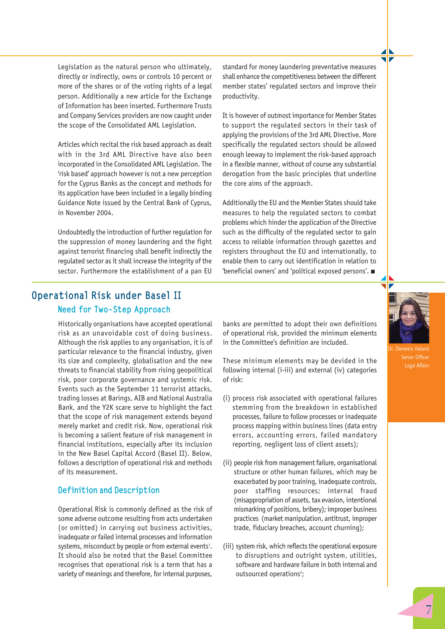Legislation as the natural person who ultimately, directly or indirectly, owns or controls 10 percent or more of the shares or of the voting rights of a legal person. Additionally a new article for the Exchange of Information has been inserted. Furthermore Trusts and Company Services providers are now caught under the scope of the Consolidated AML Legislation.

Articles which recital the risk based approach as dealt with in the 3rd AML Directive have also been incorporated in the Consolidated AML Legislation. The 'risk based' approach however is not a new perception for the Cyprus Banks as the concept and methods for its application have been included in a legally binding Guidance Note issued by the Central Bank of Cyprus, in November 2004.

Undoubtedly the introduction of further regulation for the suppression of money laundering and the fight against terrorist financing shall benefit indirectly the regulated sector as it shall increase the integrity of the sector. Furthermore the establishment of a pan EU

standard for money laundering preventative measures shall enhance the competitiveness between the different member states' regulated sectors and improve their productivity.

It is however of outmost importance for Member States to support the regulated sectors in their task of applying the provisions of the 3rd AML Directive. More specifically the regulated sectors should be allowed enough leeway to implement the risk-based approach in a flexible manner, without of course any substantial derogation from the basic principles that underline the core aims of the approach.

Additionally the EU and the Member States should take measures to help the regulated sectors to combat problems which hinder the application of the Directive such as the difficulty of the regulated sector to gain access to reliable information through gazettes and registers throughout the EU and internationally, to enable them to carry out identification in relation to 'beneficial owners' and 'political exposed persons'. ■

# Operational Risk under Basel II Need for Two-Step Approach

Historically organisations have accepted operational risk as an unavoidable cost of doing business. Although the risk applies to any organisation, it is of particular relevance to the financial industry, given its size and complexity, globalisation and the new threats to financial stability from rising geopolitical risk, poor corporate governance and systemic risk. Events such as the September 11 terrorist attacks, trading losses at Barings, AIB and National Australia Bank, and the Y2K scare serve to highlight the fact that the scope of risk management extends beyond merely market and credit risk. Now, operational risk is becoming a salient feature of risk management in financial institutions, especially after its inclusion in the New Basel Capital Accord (Basel II). Below, follows a description of operational risk and methods of its measurement.

## Definition and Description

Operational Risk is commonly defined as the risk of some adverse outcome resulting from acts undertaken (or omitted) in carrying out business activities, inadequate or failed internal processes and information systems, misconduct by people or from external events<sup>1</sup>. It should also be noted that the Basel Committee recognises that operational risk is a term that has a variety of meanings and therefore, for internal purposes, banks are permitted to adopt their own definitions of operational risk, provided the minimum elements in the Committee's definition are included.

These minimum elements may be devided in the following internal (i-iii) and external (iv) categories of risk:

- (i) process risk associated with operational failures stemming from the breakdown in established processes, failure to follow processes or inadequate process mapping within business lines (data entry errors, accounting errors, failed mandatory reporting, negligent loss of client assets);
- (ii) people risk from management failure, organisational structure or other human failures, which may be exacerbated by poor training, inadequate controls, poor staffing resources; internal fraud (misappropriation of assets, tax evasion, intentional mismarking of positions, bribery); improper business practices (market manipulation, antitrust, improper trade, fiduciary breaches, account churning);
- (iii) system risk, which reflects the operational exposure to disruptions and outright system, utilities, software and hardware failure in both internal and outsourced operations<sup>2</sup>;



Legal Affairs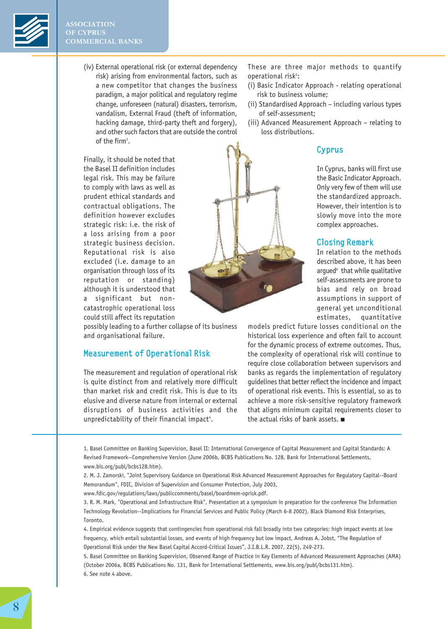

(iv) External operational risk (or external dependency risk) arising from environmental factors, such as a new competitor that changes the business paradigm, a major political and regulatory regime change, unforeseen (natural) disasters, terrorism, vandalism, External Fraud (theft of information, hacking damage, third-party theft and forgery), and other such factors that are outside the control of the firm<sup>3</sup>.

Finally, it should be noted that the Basel II definition includes legal risk. This may be failure to comply with laws as well as prudent ethical standards and contractual obligations. The definition however excludes strategic risk: i.e. the risk of a loss arising from a poor strategic business decision. Reputational risk is also excluded (i.e. damage to an organisation through loss of its reputation or standing) although it is understood that a significant but noncatastrophic operational loss could still affect its reputation

possibly leading to a further collapse of its business and organisational failure.

## Measurement of Operational Risk

The measurement and regulation of operational risk is quite distinct from and relatively more difficult than market risk and credit risk. This is due to its elusive and diverse nature from internal or external disruptions of business activities and the unpredictability of their financial impact $\lq$ .

These are three major methods to quantify operational risk<sup>5</sup>:

- (i) Basic Indicator Approach relating operational risk to business volume;
- (ii) Standardised Approach including various types of self-assessment;
- (iii) Advanced Measurement Approach relating to loss distributions.

## Cyprus

In Cyprus, banks will first use the Basic Indicator Approach. Only very few of them will use the standardized approach. However, their intention is to slowly move into the more complex approaches.

## Closing Remark

In relation to the methods described above, it has been arqued<sup>6</sup> that while qualitative self-assessments are prone to bias and rely on broad assumptions in support of general yet unconditional estimates, quantitative

models predict future losses conditional on the historical loss experience and often fail to account for the dynamic process of extreme outcomes. Thus, the complexity of operational risk will continue to require close collaboration between supervisors and banks as regards the implementation of regulatory guidelines that better reflect the incidence and impact of operational risk events. This is essential, so as to achieve a more risk-sensitive regulatory framework that aligns minimum capital requirements closer to the actual risks of bank assets. ■

1. Basel Committee on Banking Supervision, Basel II: International Convergence of Capital Measurement and Capital Standards: A Revised Framework--Comprehensive Version (June 2006b, BCBS Publications No. 128, Bank for International Settlements, www.bis.org/publ/bcbs128.htm).

www.fdic.gov/regulations/laws/publiccomments/basel/boardmem-oprisk.pdf.

3. R. M. Mark, "Operational and Infrastructure Risk", Presentation at a symposium in preparation for the conference The Information Technology Revolution--Implications for Financial Services and Public Policy (March 6-8 2002), Black Diamond Risk Enterprises, Toronto.

4. Empirical evidence suggests that contingencies from operational risk fall broadly into two categories: high impact events at low frequency, which entail substantial losses, and events of high frequency but low impact, Andreas A. Jobst, "The Regulation of Operational Risk under the New Basel Capital Accord-Critical Issues", J.I.B.L.R. 2007, 22(5), 249-273.

5. Basel Committee on Banking Supervision, Observed Range of Practice in Key Elements of Advanced Measurement Approaches (AMA) (October 2006a, BCBS Publications No. 131, Bank for International Settlements, www.bis.org/publ/bcbs131.htm). 6. See note 4 above.

<sup>2.</sup> M. J. Zamorski, "Joint Supervisory Guidance on Operational Risk Advanced Measurement Approaches for Regulatory Capital--Board Memorandum", FDIC, Division of Supervision and Consumer Protection, July 2003,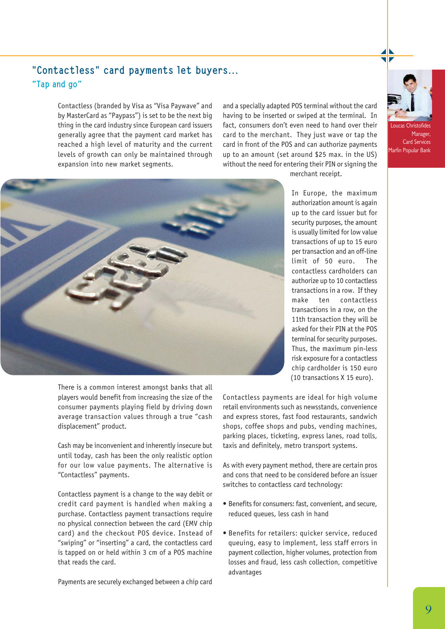

# "Contactless" card payments let buyers… "Tap and go"

Contactless (branded by Visa as "Visa Paywave" and by MasterCard as "Paypass") is set to be the next big thing in the card industry since European card issuers generally agree that the payment card market has reached a high level of maturity and the current levels of growth can only be maintained through expansion into new market segments.

and a specially adapted POS terminal without the card having to be inserted or swiped at the terminal. In fact, consumers don't even need to hand over their card to the merchant. They just wave or tap the card in front of the POS and can authorize payments up to an amount (set around \$25 max. in the US) without the need for entering their PIN or signing the



Loucas Christofides Manager, Card Services Marfin Popular Bank



merchant receipt.

In Europe, the maximum authorization amount is again up to the card issuer but for security purposes, the amount is usually limited for low value transactions of up to 15 euro per transaction and an off-line limit of 50 euro. The contactless cardholders can authorize up to 10 contactless transactions in a row. If they make ten contactless transactions in a row, on the 11th transaction they will be asked for their PIN at the POS terminal for security purposes. Thus, the maximum pin-less risk exposure for a contactless chip cardholder is 150 euro (10 transactions X 15 euro).

There is a common interest amongst banks that all players would benefit from increasing the size of the consumer payments playing field by driving down average transaction values through a true "cash displacement" product.

Cash may be inconvenient and inherently insecure but until today, cash has been the only realistic option for our low value payments. The alternative is "Contactless" payments.

Contactless payment is a change to the way debit or credit card payment is handled when making a purchase. Contactless payment transactions require no physical connection between the card (EMV chip card) and the checkout POS device. Instead of "swiping" or "inserting" a card, the contactless card is tapped on or held within 3 cm of a POS machine that reads the card.

Payments are securely exchanged between a chip card

Contactless payments are ideal for high volume retail environments such as newsstands, convenience and express stores, fast food restaurants, sandwich shops, coffee shops and pubs, vending machines, parking places, ticketing, express lanes, road tolls, taxis and definitely, metro transport systems.

As with every payment method, there are certain pros and cons that need to be considered before an issuer switches to contactless card technology:

- Benefits for consumers: fast, convenient, and secure, reduced queues, less cash in hand
- Benefits for retailers: quicker service, reduced queuing, easy to implement, less staff errors in payment collection, higher volumes, protection from losses and fraud, less cash collection, competitive advantages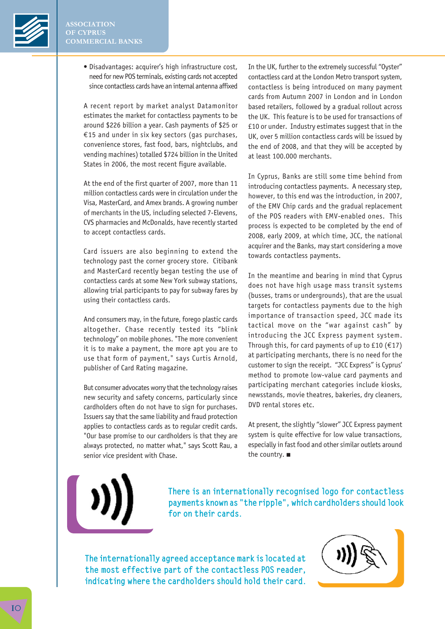

• Disadvantages: acquirer's high infrastructure cost, need for new POS terminals, existing cards not accepted since contactless cards have an internal antenna affixed

A recent report by market analyst Datamonitor estimates the market for contactless payments to be around \$226 billion a year. Cash payments of \$25 or €15 and under in six key sectors (gas purchases, convenience stores, fast food, bars, nightclubs, and vending machines) totalled \$724 billion in the United States in 2006, the most recent figure available.

At the end of the first quarter of 2007, more than 11 million contactless cards were in circulation under the Visa, MasterCard, and Amex brands. A growing number of merchants in the US, including selected 7-Elevens, CVS pharmacies and McDonalds, have recently started to accept contactless cards.

Card issuers are also beginning to extend the technology past the corner grocery store. Citibank and MasterCard recently began testing the use of contactless cards at some New York subway stations, allowing trial participants to pay for subway fares by using their contactless cards.

And consumers may, in the future, forego plastic cards altogether. Chase recently tested its "blink technology" on mobile phones. "The more convenient it is to make a payment, the more apt you are to use that form of payment," says Curtis Arnold, publisher of Card Rating magazine.

But consumer advocates worry that the technology raises new security and safety concerns, particularly since cardholders often do not have to sign for purchases. Issuers say that the same liability and fraud protection applies to contactless cards as to regular credit cards. "Our base promise to our cardholders is that they are always protected, no matter what," says Scott Rau, a senior vice president with Chase.

In the UK, further to the extremely successful "Oyster" contactless card at the London Metro transport system, contactless is being introduced on many payment cards from Autumn 2007 in London and in London based retailers, followed by a gradual rollout across the UK. This feature is to be used for transactions of £10 or under. Industry estimates suggest that in the UK, over 5 million contactless cards will be issued by the end of 2008, and that they will be accepted by at least 100.000 merchants.

In Cyprus, Banks are still some time behind from introducing contactless payments. A necessary step, however, to this end was the introduction, in 2007, of the EMV Chip cards and the gradual replacement of the POS readers with EMV-enabled ones. This process is expected to be completed by the end of 2008, early 2009, at which time, JCC, the national acquirer and the Banks, may start considering a move towards contactless payments.

In the meantime and bearing in mind that Cyprus does not have high usage mass transit systems (busses, trams or undergrounds), that are the usual targets for contactless payments due to the high importance of transaction speed, JCC made its tactical move on the "war against cash" by introducing the JCC Express payment system. Through this, for card payments of up to £10 ( $€17$ ) at participating merchants, there is no need for the customer to sign the receipt. "JCC Express" is Cyprus' method to promote low-value card payments and participating merchant categories include kiosks, newsstands, movie theatres, bakeries, dry cleaners, DVD rental stores etc.

At present, the slightly "slower" JCC Express payment system is quite effective for low value transactions, especially in fast food and other similar outlets around the country. ■

There is an internationally recognised logo for contactless payments known as "the ripple", which cardholders should look for on their cards.

The internationally agreed acceptance mark is located at the most effective part of the contactless POS reader, indicating where the cardholders should hold their card.

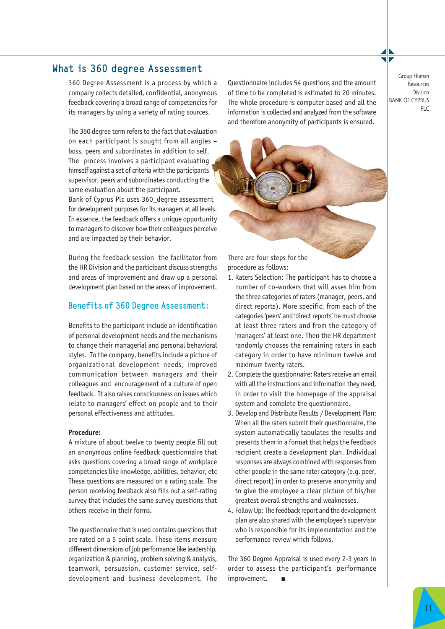# What is 360 degree Assessment Group Human Group Human

360 Degree Assessment is a process by which a company collects detailed, confidential, anonymous feedback covering a broad range of competencies for its managers by using a variety of rating sources.

The 360 degree term refers to the fact that evaluation on each participant is sought from all angles – boss, peers and subordinates in addition to self. The process involves a participant evaluating himself against a set of criteria with the participants supervisor, peers and subordinates conducting the same evaluation about the participant. Bank of Cyprus Plc uses 360\_degree assessment for development purposes for its managers at all levels. In essence, the feedback offers a unique opportunity to managers to discover how their colleagues perceive and are impacted by their behavior.

During the feedback session the facilitator from the HR Division and the participant discuss strengths and areas of improvement and draw up a personal development plan based on the areas of improvement.

## Benefits of 360 Degree Assessment:

Benefits to the participant include an identification of personal development needs and the mechanisms to change their managerial and personal behavioral styles. To the company, benefits include a picture of organizational development needs, improved communication between managers and their colleagues and encouragement of a culture of open feedback. It also raises consciousness on issues which relate to managers' effect on people and to their personal effectiveness and attitudes.

### **Procedure:**

A mixture of about twelve to twenty people fill out an anonymous online feedback questionnaire that asks questions covering a broad range of workplace competencies like knowledge, abilities, behavior, etc These questions are measured on a rating scale. The person receiving feedback also fills out a self-rating survey that includes the same survey questions that others receive in their forms.

The questionnaire that is used contains questions that are rated on a 5 point scale. These items measure different dimensions of job performance like leadership, organization & planning, problem solving & analysis, teamwork, persuasion, customer service, selfdevelopment and business development. The

Questionnaire includes 54 questions and the amount of time to be completed is estimated to 20 minutes. The whole procedure is computer based and all the information is collected and analyzed from the software and therefore anonymity of participants is ensured.

Resources Division BANK OF CYPRUS PLC



There are four steps for the procedure as follows:

- 1. Raters Selection: The participant has to choose a number of co-workers that will asses him from the three categories of raters (manager, peers, and direct reports). More specific, from each of the categories 'peers' and 'direct reports' he must choose at least three raters and from the category of 'managers' at least one. Then the HR department randomly chooses the remaining raters in each category in order to have minimum twelve and maximum twenty raters.
- 2. Complete the questionnaire: Raters receive an email with all the instructions and information they need, in order to visit the homepage of the appraisal system and complete the questionnaire.
- 3. Develop and Distribute Results / Development Plan: When all the raters submit their questionnaire, the system automatically tabulates the results and presents them in a format that helps the feedback recipient create a development plan. Individual responses are always combined with responses from other people in the same rater category (e.g. peer, direct report) in order to preserve anonymity and to give the employee a clear picture of his/her greatest overall strengths and weaknesses.
- 4. Follow Up: The feedback report and the development plan are also shared with the employee's supervisor who is responsible for its implementation and the performance review which follows.

The 360 Degree Appraisal is used every 2-3 years in order to assess the participant's performance improvement.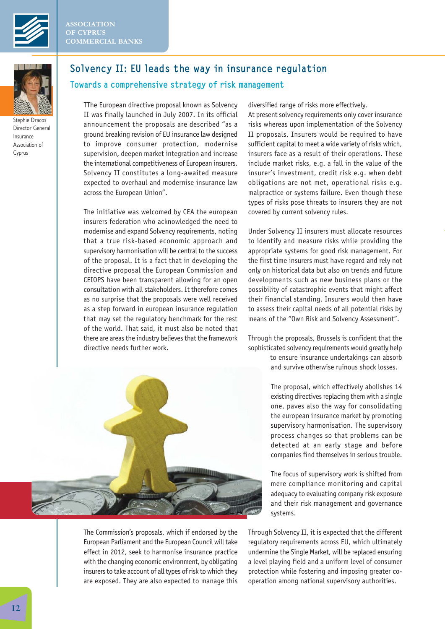



Stephie Dracos Director General Insurance Association of Cyprus

## Solvency II: EU leads the way in insurance regulation

## Towards a comprehensive strategy of risk management

TThe European directive proposal known as Solvency II was finally launched in July 2007. In its official announcement the proposals are described "as a ground breaking revision of EU insurance law designed to improve consumer protection, modernise supervision, deepen market integration and increase the international competitiveness of European insurers. Solvency II constitutes a long-awaited measure expected to overhaul and modernise insurance law across the European Union".

The initiative was welcomed by CEA the european insurers federation who acknowledged the need to modernise and expand Solvency requirements, noting that a true risk-based economic approach and supervisory harmonisation will be central to the success of the proposal. It is a fact that in developing the directive proposal the European Commission and CEIOPS have been transparent allowing for an open consultation with all stakeholders. It therefore comes as no surprise that the proposals were well received as a step forward in european insurance regulation that may set the regulatory benchmark for the rest of the world. That said, it must also be noted that there are areas the industry believes that the framework directive needs further work.



The Commission's proposals, which if endorsed by the European Parliament and the European Council will take effect in 2012, seek to harmonise insurance practice with the changing economic environment, by obligating insurers to take account of all types of risk to which they are exposed. They are also expected to manage this diversified range of risks more effectively.

At present solvency requirements only cover insurance risks whereas upon implementation of the Solvency II proposals, Insurers would be required to have sufficient capital to meet a wide variety of risks which, insurers face as a result of their operations. These include market risks, e.g. a fall in the value of the insurer's investment, credit risk e.g. when debt obligations are not met, operational risks e.g. malpractice or systems failure. Even though these types of risks pose threats to insurers they are not covered by current solvency rules.

Under Solvency II insurers must allocate resources to identify and measure risks while providing the appropriate systems for good risk management. For the first time insurers must have regard and rely not only on historical data but also on trends and future developments such as new business plans or the possibility of catastrophic events that might affect their financial standing. Insurers would then have to assess their capital needs of all potential risks by means of the "Own Risk and Solvency Assessment".

Through the proposals, Brussels is confident that the sophisticated solvency requirements would greatly help

> to ensure insurance undertakings can absorb and survive otherwise ruinous shock losses.

The proposal, which effectively abolishes 14 existing directives replacing them with a single one, paves also the way for consolidating the european insurance market by promoting supervisory harmonisation. The supervisory process changes so that problems can be detected at an early stage and before companies find themselves in serious trouble.

The focus of supervisory work is shifted from mere compliance monitoring and capital adequacy to evaluating company risk exposure and their risk management and governance systems.

Through Solvency II, it is expected that the different regulatory requirements across EU, which ultimately undermine the Single Market, will be replaced ensuring a level playing field and a uniform level of consumer protection while fostering and imposing greater cooperation among national supervisory authorities.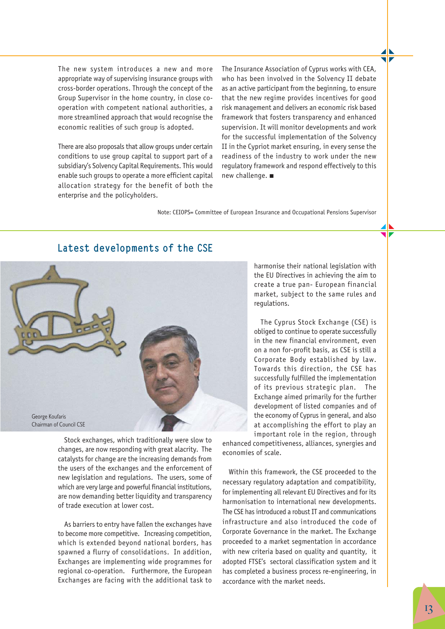The new system introduces a new and more appropriate way of supervising insurance groups with cross-border operations. Through the concept of the Group Supervisor in the home country, in close cooperation with competent national authorities, a more streamlined approach that would recognise the economic realities of such group is adopted.

There are also proposals that allow groups under certain conditions to use group capital to support part of a subsidiary's Solvency Capital Requirements. This would enable such groups to operate a more efficient capital allocation strategy for the benefit of both the enterprise and the policyholders.

The Insurance Association of Cyprus works with CEA, who has been involved in the Solvency II debate as an active participant from the beginning, to ensure that the new regime provides incentives for good risk management and delivers an economic risk based framework that fosters transparency and enhanced supervision. It will monitor developments and work for the successful implementation of the Solvency II in the Cypriot market ensuring, in every sense the readiness of the industry to work under the new regulatory framework and respond effectively to this new challenge. ■

Note: CEIOPS= Committee of European Insurance and Occupational Pensions Supervisor

## Latest developments of the CSE



Stock exchanges, which traditionally were slow to changes, are now responding with great alacrity. The catalysts for change are the increasing demands from the users of the exchanges and the enforcement of new legislation and regulations. The users, some of which are very large and powerful financial institutions, are now demanding better liquidity and transparency of trade execution at lower cost.

As barriers to entry have fallen the exchanges have to become more competitive. Increasing competition, which is extended beyond national borders, has spawned a flurry of consolidations. In addition, Exchanges are implementing wide programmes for regional co-operation. Furthermore, the European Exchanges are facing with the additional task to

harmonise their national legislation with the EU Directives in achieving the aim to create a true pan- European financial market, subject to the same rules and regulations.

The Cyprus Stock Exchange (CSE) is obliged to continue to operate successfully in the new financial environment, even on a non for-profit basis, as CSE is still a Corporate Body established by law. Towards this direction, the CSE has successfully fulfilled the implementation of its previous strategic plan. The Exchange aimed primarily for the further development of listed companies and of the economy of Cyprus in general, and also at accomplishing the effort to play an important role in the region, through

enhanced competitiveness, alliances, synergies and economies of scale.

Within this framework, the CSE proceeded to the necessary regulatory adaptation and compatibility, for implementing all relevant EU Directives and for its harmonisation to international new developments. The CSE has introduced a robust IT and communications infrastructure and also introduced the code of Corporate Governance in the market. The Exchange proceeded to a market segmentation in accordance with new criteria based on quality and quantity, it adopted FTSE's sectoral classification system and it has completed a business process re-engineering, in accordance with the market needs.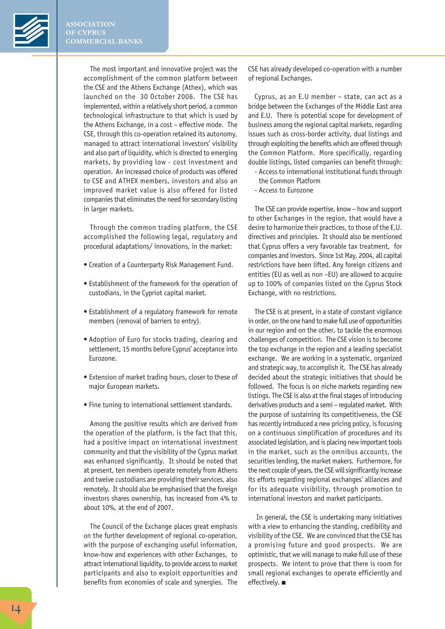

The most important and innovative project was the accomplishment of the common platform between the CSE and the Athens Exchange (Athex), which was launched on the 30 October 2006. The CSE has implemented, within a relatively short period, a common technological infrastructure to that which is used by the Athens Exchange, in a cost – effective mode. The CSE, through this co-operation retained its autonomy, managed to attract international investors' visibility and also part of liquidity, which is directed to emerging markets, by providing low - cost investment and operation. An increased choice of products was offered to CSE and ATHEX members, investors and also an improved market value is also offered for listed companies that eliminates the need for secondary listing in larger markets.

Through the common trading platform, the CSE accomplished the following legal, regulatory and procedural adaptations/ innovations, in the market:

- Creation of a Counterparty Risk Management Fund.
- Establishment of the framework for the operation of custodians, in the Cypriot capital market.
- Establishment of a regulatory framework for remote members (removal of barriers to entry).
- Adoption of Euro for stocks trading, clearing and settlement, 15 months before Cyprus' acceptance into Eurozone.
- Extension of market trading hours, closer to these of major European markets.
- Fine tuning to international settlement standards.

Among the positive results which are derived from the operation of the platform, is the fact that this, had a positive impact on international investment community and that the visibility of the Cyprus market was enhanced significantly. It should be noted that at present, ten members operate remotely from Athens and twelve custodians are providing their services, also remotely. It should also be emphasised that the foreign investors shares ownership, has increased from 4% to about 10%, at the end of 2007.

The Council of the Exchange places great emphasis on the further development of regional co-operation, with the purpose of exchanging useful information, know-how and experiences with other Exchanges, to attract international liquidity, to provide access to market participants and also to exploit opportunities and benefits from economies of scale and synergies. The CSE has already developed co-operation with a number of regional Exchanges.

Cyprus, as an E.U member – state, can act as a bridge between the Exchanges of the Middle East area and E.U. There is potential scope for development of business among the regional capital markets, regarding issues such as cross-border activity, dual listings and through exploiting the benefits which are offered through the Common Platform. More specifically, regarding double listings, listed companies can benefit through:

- Access to international institutional funds through the Common Platform
- Access to Eurozone

The CSE can provide expertise, know – how and support to other Exchanges in the region, that would have a desire to harmonize their practices, to those of the E.U. directives and principles. It should also be mentioned that Cyprus offers a very favorable tax treatment, for companies and investors. Since 1st May, 2004, all capital restrictions have been lifted. Any foreign citizens and entities (EU as well as non –EU) are allowed to acquire up to 100% of companies listed on the Cyprus Stock Exchange, with no restrictions.

The CSE is at present, in a state of constant vigilance in order, on the one hand to make full use of opportunities in our region and on the other, to tackle the enormous challenges of competition. The CSE vision is to become the top exchange in the region and a leading specialist exchange. We are working in a systematic, organized and strategic way, to accomplish it. The CSE has already decided about the strategic initiatives that should be followed. The focus is on niche markets regarding new listings. The CSE is also at the final stages of introducing derivatives products and a semi – regulated market. With the purpose of sustaining its competitiveness, the CSE has recently introduced a new pricing policy, is focusing on a continuous simplification of procedures and its associated legislation, and is placing new important tools in the market, such as the omnibus accounts, the securities lending, the market makers. Furthermore, for the next couple of years, the CSE will significantly increase its efforts regarding regional exchanges' alliances and for its adequate visibility, through promotion to international investors and market participants.

In general, the CSE is undertaking many initiatives with a view to enhancing the standing, credibility and visibility of the CSE. We are convinced that the CSE has a promising future and good prospects. We are optimistic, that we will manage to make full use of these prospects. We intent to prove that there is room for small regional exchanges to operate efficiently and effectively. ■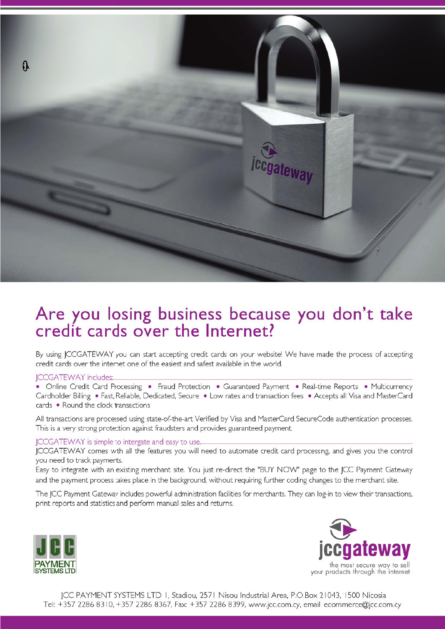

# Are you losing business because you don't take credit cards over the Internet?

By using JCCGATEWAY you can start accepting credit cards on your website! We have made the process of accepting credit cards over the internet one of the easiest and safest available in the world.

## **ICCGATEWAY** includes:

• Online Credit Card Processing • Fraud Protection • Guaranteed Payment • Real-time Reports • Multicurrency Cardholder Billing • Fast, Reliable, Dedicated, Secure • Low rates and transaction fees • Accepts all Visa and MasterCard cards . Round the clock transactions

All transactions are processed using state-of-the-art Verified by Visa and MasterCard SecureCode authentication processes. This is a very strong protection against fraudsters and provides guaranteed payment.

## JCCGATEWAY is simple to intergate and easy to use.

JCCGATEWAY comes wth all the features you will need to automate credit card processing, and gives you the control you need to track payments.

Easy to integrate with an existing merchant site. You just re-direct the "BUY NOW" page to the JCC Payment Gateway and the payment process takes place in the background, without requiring further coding changes to the merchant site.

The JCC Payment Gateway includes powerful administration facilities for merchants. They can log-in to view their transactions, print reports and statistics and perform manual sales and returns.